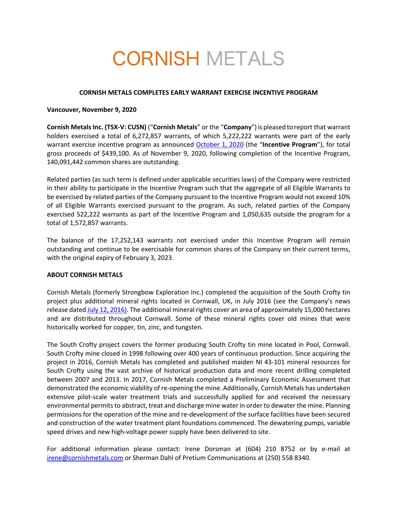# CORNISH METALS

### **CORNISH METALS COMPLETES EARLY WARRANT EXERCISE INCENTIVE PROGRAM**

#### **Vancouver, November 9, 2020**

**Cornish Metals Inc. (TSX-V: CUSN)** ("**Cornish Metals**" or the "**Company**") is pleased toreport that warrant holders exercised a total of 6,272,857 warrants, of which 5,222,222 warrants were part of the early warrant exercise incentive program as announced October 1, 2020 (the "**Incentive Program**"), for total gross proceeds of \$439,100. As of November 9, 2020, following completion of the Incentive Program, 140,091,442 common shares are outstanding.

Related parties (as such term is defined under applicable securities laws) of the Company were restricted in their ability to participate in the Incentive Program such that the aggregate of all Eligible Warrants to be exercised by related parties of the Company pursuant to the Incentive Program would not exceed 10% of all Eligible Warrants exercised pursuant to the program. As such, related parties of the Company exercised 522,222 warrants as part of the Incentive Program and 1,050,635 outside the program for a total of 1,572,857 warrants.

The balance of the 17,252,143 warrants not exercised under this Incentive Program will remain outstanding and continue to be exercisable for common shares of the Company on their current terms, with the original expiry of February 3, 2023.

## **ABOUT CORNISH METALS**

Cornish Metals (formerly Strongbow Exploration Inc.) completed the acquisition of the South Crofty tin project plus additional mineral rights located in Cornwall, UK, in July 2016 (see the Company's news release dated July 12, 2016). The additional mineral rights cover an area of approximately 15,000 hectares and are distributed throughout Cornwall. Some of these mineral rights cover old mines that were historically worked for copper, tin, zinc, and tungsten.

The South Crofty project covers the former producing South Crofty tin mine located in Pool, Cornwall. South Crofty mine closed in 1998 following over 400 years of continuous production. Since acquiring the project in 2016, Cornish Metals has completed and published maiden NI 43-101 mineral resources for South Crofty using the vast archive of historical production data and more recent drilling completed between 2007 and 2013. In 2017, Cornish Metals completed a Preliminary Economic Assessment that demonstrated the economic viability of re-opening the mine. Additionally, Cornish Metals has undertaken extensive pilot-scale water treatment trials and successfully applied for and received the necessary environmental permits to abstract, treat and discharge mine water in order to dewater the mine. Planning permissions for the operation of the mine and re-development of the surface facilities have been secured and construction of the water treatment plant foundations commenced. The dewatering pumps, variable speed drives and new high-voltage power supply have been delivered to site.

For additional information please contact: Irene Dorsman at (604) 210 8752 or by e-mail at irene@cornishmetals.com or Sherman Dahl of Pretium Communications at (250) 558 8340.